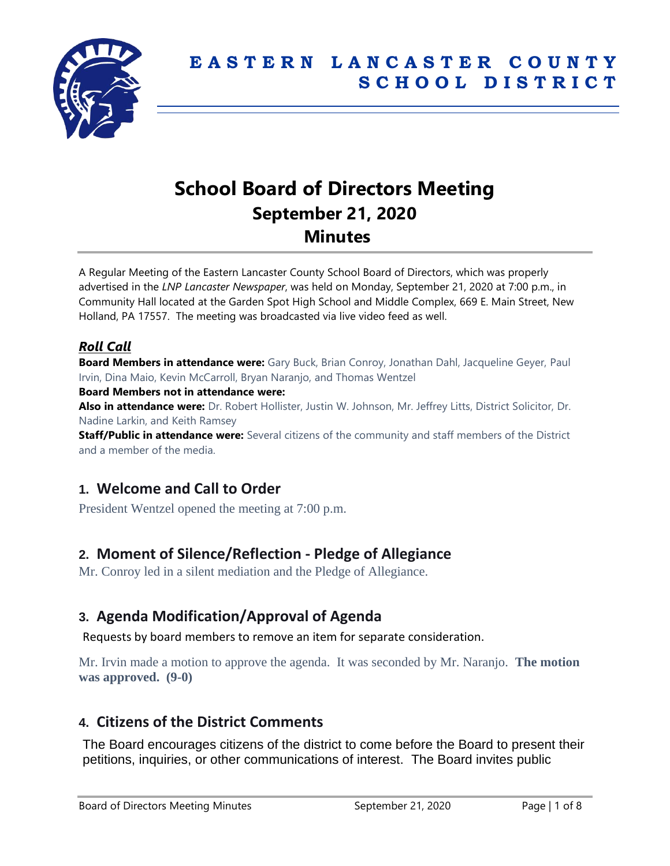

# **School Board of Directors Meeting September 21, 2020 Minutes**

A Regular Meeting of the Eastern Lancaster County School Board of Directors, which was properly advertised in the *LNP Lancaster Newspaper*, was held on Monday, September 21, 2020 at 7:00 p.m., in Community Hall located at the Garden Spot High School and Middle Complex, 669 E. Main Street, New Holland, PA 17557. The meeting was broadcasted via live video feed as well.

### *Roll Call*

**Board Members in attendance were:** Gary Buck, Brian Conroy, Jonathan Dahl, Jacqueline Geyer, Paul Irvin, Dina Maio, Kevin McCarroll, Bryan Naranjo, and Thomas Wentzel

**Board Members not in attendance were:**

**Also in attendance were:** Dr. Robert Hollister, Justin W. Johnson, Mr. Jeffrey Litts, District Solicitor, Dr. Nadine Larkin, and Keith Ramsey

**Staff/Public in attendance were:** Several citizens of the community and staff members of the District and a member of the media.

# **1. Welcome and Call to Order**

President Wentzel opened the meeting at 7:00 p.m.

# **2. Moment of Silence/Reflection - Pledge of Allegiance**

Mr. Conroy led in a silent mediation and the Pledge of Allegiance.

# **3. Agenda Modification/Approval of Agenda**

Requests by board members to remove an item for separate consideration.

Mr. Irvin made a motion to approve the agenda. It was seconded by Mr. Naranjo. **The motion was approved. (9-0)**

# **4. Citizens of the District Comments**

The Board encourages citizens of the district to come before the Board to present their petitions, inquiries, or other communications of interest. The Board invites public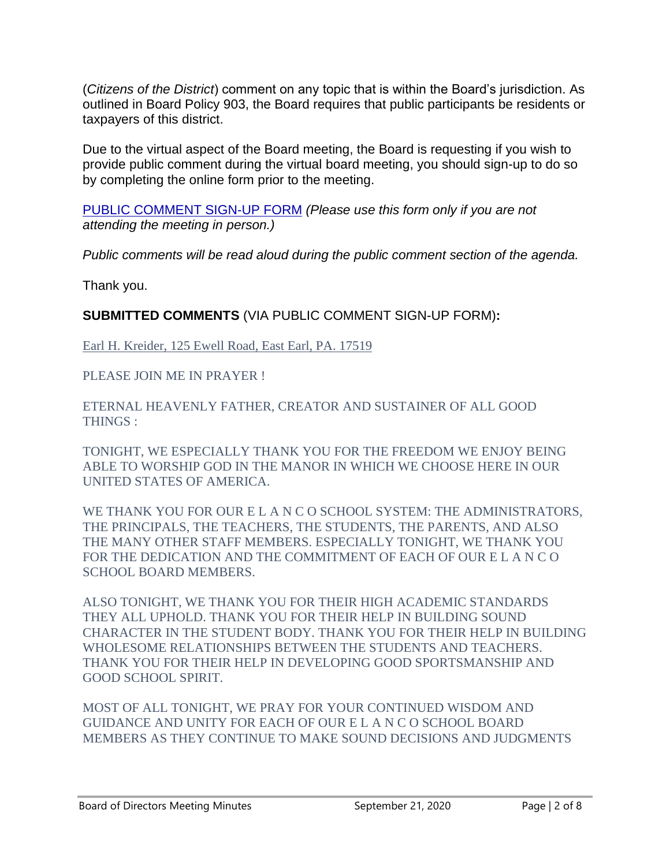(*Citizens of the District*) comment on any topic that is within the Board's jurisdiction. As outlined in Board Policy 903, the Board requires that public participants be residents or taxpayers of this district.

Due to the virtual aspect of the Board meeting, the Board is requesting if you wish to provide public comment during the virtual board meeting, you should sign-up to do so by completing the online form prior to the meeting.

[PUBLIC COMMENT SIGN-UP FORM](https://forms.gle/zDXXoX8rZQUxt1Ap6) *(Please use this form only if you are not attending the meeting in person.)*

*Public comments will be read aloud during the public comment section of the agenda.*

Thank you.

**SUBMITTED COMMENTS** (VIA PUBLIC COMMENT SIGN-UP FORM)**:**

Earl H. Kreider, 125 Ewell Road, East Earl, PA. 17519

PLEASE JOIN ME IN PRAYER !

ETERNAL HEAVENLY FATHER, CREATOR AND SUSTAINER OF ALL GOOD THINGS :

TONIGHT, WE ESPECIALLY THANK YOU FOR THE FREEDOM WE ENJOY BEING ABLE TO WORSHIP GOD IN THE MANOR IN WHICH WE CHOOSE HERE IN OUR UNITED STATES OF AMERICA.

WE THANK YOU FOR OUR E L A N C O SCHOOL SYSTEM: THE ADMINISTRATORS, THE PRINCIPALS, THE TEACHERS, THE STUDENTS, THE PARENTS, AND ALSO THE MANY OTHER STAFF MEMBERS. ESPECIALLY TONIGHT, WE THANK YOU FOR THE DEDICATION AND THE COMMITMENT OF EACH OF OUR E L A N C O SCHOOL BOARD MEMBERS.

ALSO TONIGHT, WE THANK YOU FOR THEIR HIGH ACADEMIC STANDARDS THEY ALL UPHOLD. THANK YOU FOR THEIR HELP IN BUILDING SOUND CHARACTER IN THE STUDENT BODY. THANK YOU FOR THEIR HELP IN BUILDING WHOLESOME RELATIONSHIPS BETWEEN THE STUDENTS AND TEACHERS. THANK YOU FOR THEIR HELP IN DEVELOPING GOOD SPORTSMANSHIP AND GOOD SCHOOL SPIRIT.

MOST OF ALL TONIGHT, WE PRAY FOR YOUR CONTINUED WISDOM AND GUIDANCE AND UNITY FOR EACH OF OUR E L A N C O SCHOOL BOARD MEMBERS AS THEY CONTINUE TO MAKE SOUND DECISIONS AND JUDGMENTS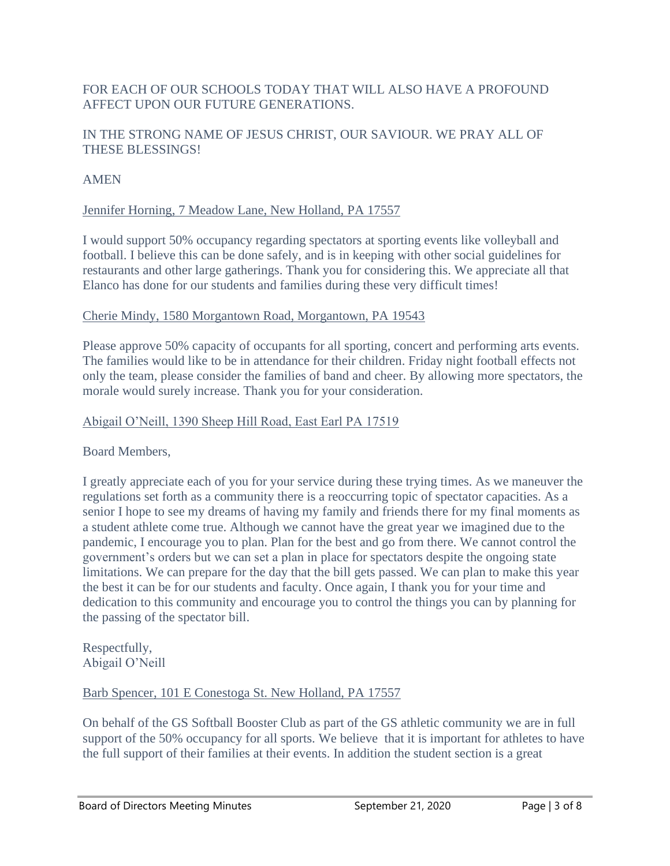### FOR EACH OF OUR SCHOOLS TODAY THAT WILL ALSO HAVE A PROFOUND AFFECT UPON OUR FUTURE GENERATIONS.

### IN THE STRONG NAME OF JESUS CHRIST, OUR SAVIOUR. WE PRAY ALL OF THESE BLESSINGS!

### AMEN

### Jennifer Horning, 7 Meadow Lane, New Holland, PA 17557

I would support 50% occupancy regarding spectators at sporting events like volleyball and football. I believe this can be done safely, and is in keeping with other social guidelines for restaurants and other large gatherings. Thank you for considering this. We appreciate all that Elanco has done for our students and families during these very difficult times!

#### Cherie Mindy, 1580 Morgantown Road, Morgantown, PA 19543

Please approve 50% capacity of occupants for all sporting, concert and performing arts events. The families would like to be in attendance for their children. Friday night football effects not only the team, please consider the families of band and cheer. By allowing more spectators, the morale would surely increase. Thank you for your consideration.

#### Abigail O'Neill, 1390 Sheep Hill Road, East Earl PA 17519

Board Members,

I greatly appreciate each of you for your service during these trying times. As we maneuver the regulations set forth as a community there is a reoccurring topic of spectator capacities. As a senior I hope to see my dreams of having my family and friends there for my final moments as a student athlete come true. Although we cannot have the great year we imagined due to the pandemic, I encourage you to plan. Plan for the best and go from there. We cannot control the government's orders but we can set a plan in place for spectators despite the ongoing state limitations. We can prepare for the day that the bill gets passed. We can plan to make this year the best it can be for our students and faculty. Once again, I thank you for your time and dedication to this community and encourage you to control the things you can by planning for the passing of the spectator bill.

Respectfully, Abigail O'Neill

#### Barb Spencer, 101 E Conestoga St. New Holland, PA 17557

On behalf of the GS Softball Booster Club as part of the GS athletic community we are in full support of the 50% occupancy for all sports. We believe that it is important for athletes to have the full support of their families at their events. In addition the student section is a great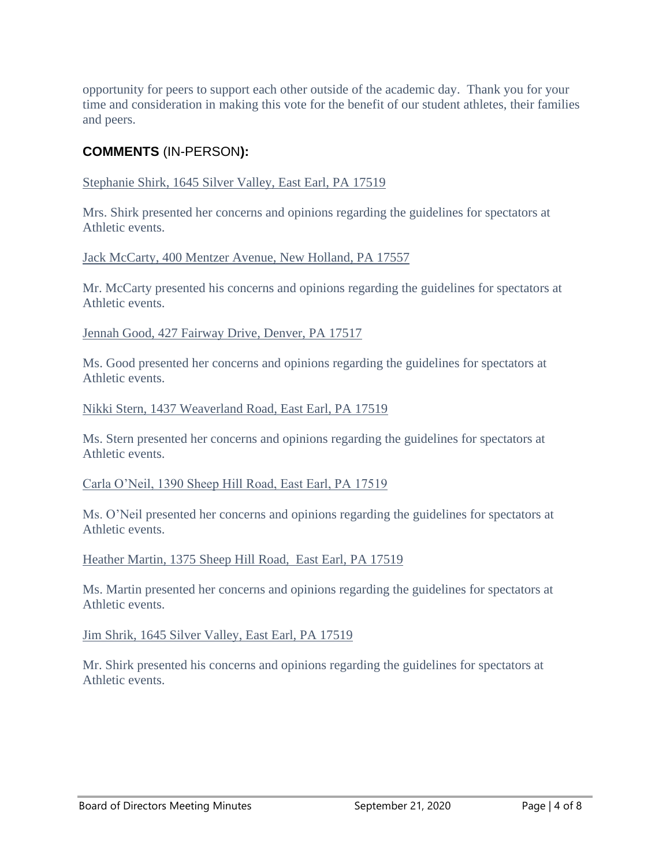opportunity for peers to support each other outside of the academic day. Thank you for your time and consideration in making this vote for the benefit of our student athletes, their families and peers.

### **COMMENTS** (IN-PERSON**):**

#### Stephanie Shirk, 1645 Silver Valley, East Earl, PA 17519

Mrs. Shirk presented her concerns and opinions regarding the guidelines for spectators at Athletic events.

Jack McCarty, 400 Mentzer Avenue, New Holland, PA 17557

Mr. McCarty presented his concerns and opinions regarding the guidelines for spectators at Athletic events.

Jennah Good, 427 Fairway Drive, Denver, PA 17517

Ms. Good presented her concerns and opinions regarding the guidelines for spectators at Athletic events.

#### Nikki Stern, 1437 Weaverland Road, East Earl, PA 17519

Ms. Stern presented her concerns and opinions regarding the guidelines for spectators at Athletic events.

#### Carla O'Neil, 1390 Sheep Hill Road, East Earl, PA 17519

Ms. O'Neil presented her concerns and opinions regarding the guidelines for spectators at Athletic events.

#### Heather Martin, 1375 Sheep Hill Road, East Earl, PA 17519

Ms. Martin presented her concerns and opinions regarding the guidelines for spectators at Athletic events.

### Jim Shrik, 1645 Silver Valley, East Earl, PA 17519

Mr. Shirk presented his concerns and opinions regarding the guidelines for spectators at Athletic events.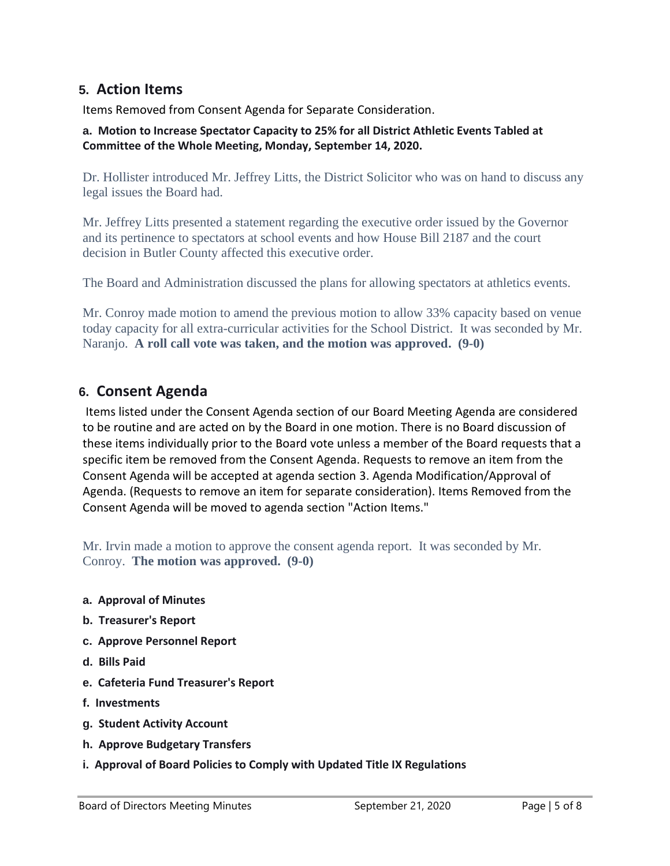### **5. Action Items**

Items Removed from Consent Agenda for Separate Consideration.

#### **a. Motion to Increase Spectator Capacity to 25% for all District Athletic Events Tabled at Committee of the Whole Meeting, Monday, September 14, 2020.**

Dr. Hollister introduced Mr. Jeffrey Litts, the District Solicitor who was on hand to discuss any legal issues the Board had.

Mr. Jeffrey Litts presented a statement regarding the executive order issued by the Governor and its pertinence to spectators at school events and how House Bill 2187 and the court decision in Butler County affected this executive order.

The Board and Administration discussed the plans for allowing spectators at athletics events.

Mr. Conroy made motion to amend the previous motion to allow 33% capacity based on venue today capacity for all extra-curricular activities for the School District. It was seconded by Mr. Naranjo. **A roll call vote was taken, and the motion was approved. (9-0)**

### **6. Consent Agenda**

Items listed under the Consent Agenda section of our Board Meeting Agenda are considered to be routine and are acted on by the Board in one motion. There is no Board discussion of these items individually prior to the Board vote unless a member of the Board requests that a specific item be removed from the Consent Agenda. Requests to remove an item from the Consent Agenda will be accepted at agenda section 3. Agenda Modification/Approval of Agenda. (Requests to remove an item for separate consideration). Items Removed from the Consent Agenda will be moved to agenda section "Action Items."

Mr. Irvin made a motion to approve the consent agenda report. It was seconded by Mr. Conroy. **The motion was approved. (9-0)**

- **a. Approval of Minutes**
- **b. Treasurer's Report**
- **c. Approve Personnel Report**
- **d. Bills Paid**
- **e. Cafeteria Fund Treasurer's Report**
- **f. Investments**
- **g. Student Activity Account**
- **h. Approve Budgetary Transfers**
- **i. Approval of Board Policies to Comply with Updated Title IX Regulations**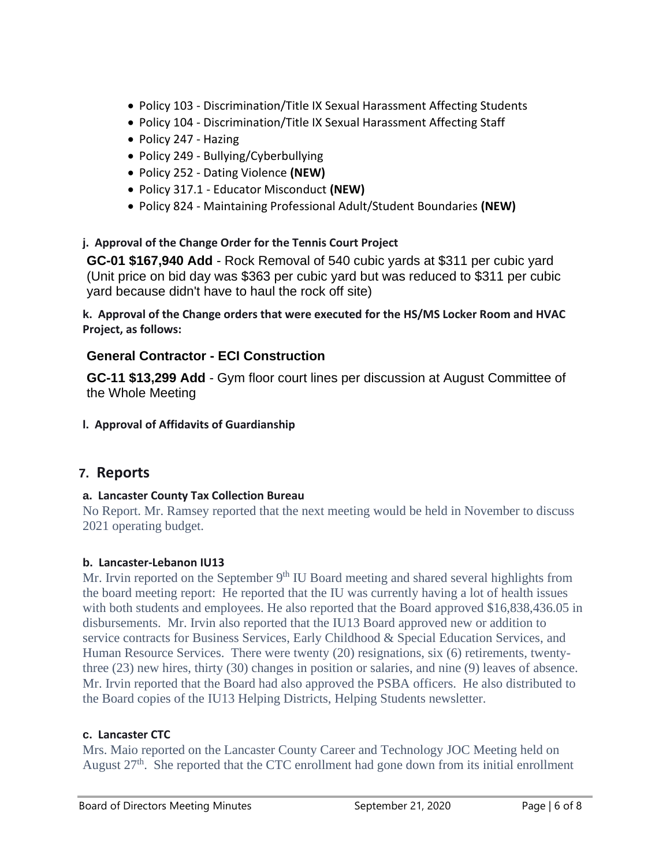- Policy 103 Discrimination/Title IX Sexual Harassment Affecting Students
- Policy 104 Discrimination/Title IX Sexual Harassment Affecting Staff
- Policy 247 Hazing
- Policy 249 Bullying/Cyberbullying
- Policy 252 Dating Violence **(NEW)**
- Policy 317.1 Educator Misconduct **(NEW)**
- Policy 824 Maintaining Professional Adult/Student Boundaries **(NEW)**

### **j. Approval of the Change Order for the Tennis Court Project**

**GC-01 \$167,940 Add** - Rock Removal of 540 cubic yards at \$311 per cubic yard (Unit price on bid day was \$363 per cubic yard but was reduced to \$311 per cubic yard because didn't have to haul the rock off site)

**k. Approval of the Change orders that were executed for the HS/MS Locker Room and HVAC Project, as follows:**

### **General Contractor - ECI Construction**

**GC-11 \$13,299 Add** - Gym floor court lines per discussion at August Committee of the Whole Meeting

**l. Approval of Affidavits of Guardianship**

# **7. Reports**

### **a. Lancaster County Tax Collection Bureau**

No Report. Mr. Ramsey reported that the next meeting would be held in November to discuss 2021 operating budget.

### **b. Lancaster-Lebanon IU13**

Mr. Irvin reported on the September  $9<sup>th</sup>$  IU Board meeting and shared several highlights from the board meeting report: He reported that the IU was currently having a lot of health issues with both students and employees. He also reported that the Board approved \$16,838,436.05 in disbursements. Mr. Irvin also reported that the IU13 Board approved new or addition to service contracts for Business Services, Early Childhood & Special Education Services, and Human Resource Services. There were twenty (20) resignations, six (6) retirements, twentythree (23) new hires, thirty (30) changes in position or salaries, and nine (9) leaves of absence. Mr. Irvin reported that the Board had also approved the PSBA officers. He also distributed to the Board copies of the IU13 Helping Districts, Helping Students newsletter.

### **c. Lancaster CTC**

Mrs. Maio reported on the Lancaster County Career and Technology JOC Meeting held on August 27<sup>th</sup>. She reported that the CTC enrollment had gone down from its initial enrollment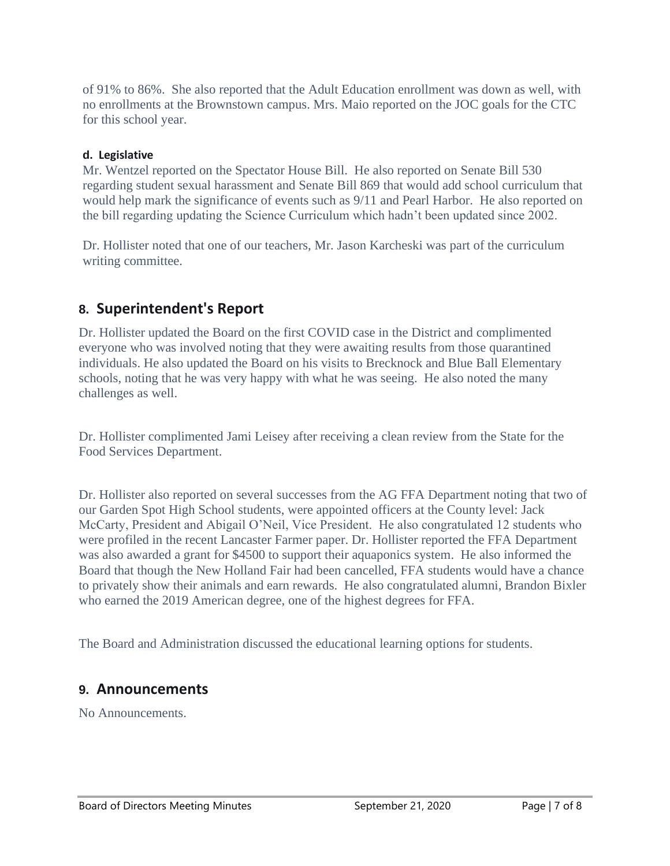of 91% to 86%. She also reported that the Adult Education enrollment was down as well, with no enrollments at the Brownstown campus. Mrs. Maio reported on the JOC goals for the CTC for this school year.

#### **d. Legislative**

Mr. Wentzel reported on the Spectator House Bill. He also reported on Senate Bill 530 regarding student sexual harassment and Senate Bill 869 that would add school curriculum that would help mark the significance of events such as 9/11 and Pearl Harbor. He also reported on the bill regarding updating the Science Curriculum which hadn't been updated since 2002.

Dr. Hollister noted that one of our teachers, Mr. Jason Karcheski was part of the curriculum writing committee.

# **8. Superintendent's Report**

Dr. Hollister updated the Board on the first COVID case in the District and complimented everyone who was involved noting that they were awaiting results from those quarantined individuals. He also updated the Board on his visits to Brecknock and Blue Ball Elementary schools, noting that he was very happy with what he was seeing. He also noted the many challenges as well.

Dr. Hollister complimented Jami Leisey after receiving a clean review from the State for the Food Services Department.

Dr. Hollister also reported on several successes from the AG FFA Department noting that two of our Garden Spot High School students, were appointed officers at the County level: Jack McCarty, President and Abigail O'Neil, Vice President. He also congratulated 12 students who were profiled in the recent Lancaster Farmer paper. Dr. Hollister reported the FFA Department was also awarded a grant for \$4500 to support their aquaponics system. He also informed the Board that though the New Holland Fair had been cancelled, FFA students would have a chance to privately show their animals and earn rewards. He also congratulated alumni, Brandon Bixler who earned the 2019 American degree, one of the highest degrees for FFA.

The Board and Administration discussed the educational learning options for students.

### **9. Announcements**

No Announcements.